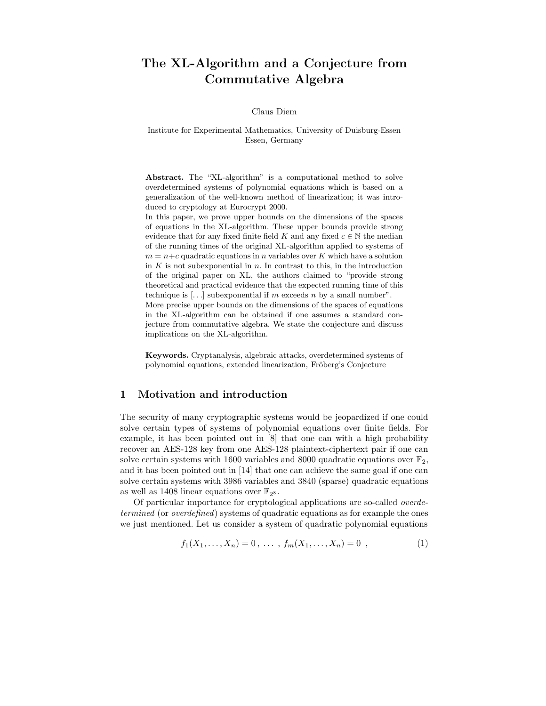# The XL-Algorithm and a Conjecture from Commutative Algebra

#### Claus Diem

#### Institute for Experimental Mathematics, University of Duisburg-Essen Essen, Germany

Abstract. The "XL-algorithm" is a computational method to solve overdetermined systems of polynomial equations which is based on a generalization of the well-known method of linearization; it was introduced to cryptology at Eurocrypt 2000.

In this paper, we prove upper bounds on the dimensions of the spaces of equations in the XL-algorithm. These upper bounds provide strong evidence that for any fixed finite field K and any fixed  $c \in \mathbb{N}$  the median of the running times of the original XL-algorithm applied to systems of  $m = n+c$  quadratic equations in *n* variables over K which have a solution in  $K$  is not subexponential in  $n$ . In contrast to this, in the introduction of the original paper on XL, the authors claimed to "provide strong theoretical and practical evidence that the expected running time of this technique is  $\left[ \ldots \right]$  subexponential if m exceeds n by a small number". More precise upper bounds on the dimensions of the spaces of equations in the XL-algorithm can be obtained if one assumes a standard conjecture from commutative algebra. We state the conjecture and discuss implications on the XL-algorithm.

Keywords. Cryptanalysis, algebraic attacks, overdetermined systems of polynomial equations, extended linearization, Fröberg's Conjecture

### 1 Motivation and introduction

The security of many cryptographic systems would be jeopardized if one could solve certain types of systems of polynomial equations over finite fields. For example, it has been pointed out in [8] that one can with a high probability recover an AES-128 key from one AES-128 plaintext-ciphertext pair if one can solve certain systems with 1600 variables and 8000 quadratic equations over  $\mathbb{F}_2$ , and it has been pointed out in [14] that one can achieve the same goal if one can solve certain systems with 3986 variables and 3840 (sparse) quadratic equations as well as 1408 linear equations over  $\mathbb{F}_{2^8}$ .

Of particular importance for cryptological applications are so-called overdetermined (or overdefined) systems of quadratic equations as for example the ones we just mentioned. Let us consider a system of quadratic polynomial equations

$$
f_1(X_1,\ldots,X_n) = 0, \ldots, f_m(X_1,\ldots,X_n) = 0 , \qquad (1)
$$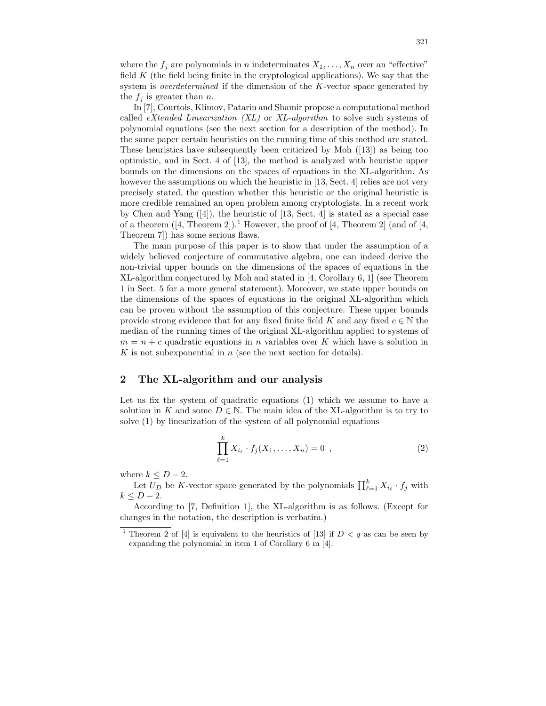where the  $f_j$  are polynomials in n indeterminates  $X_1, \ldots, X_n$  over an "effective" field  $K$  (the field being finite in the cryptological applications). We say that the system is *overdetermined* if the dimension of the K-vector space generated by the  $f_j$  is greater than n.

In [7], Courtois, Klimov, Patarin and Shamir propose a computational method called  $eXtended Linearization (XL)$  or  $XL-algorithms$  to solve such systems of polynomial equations (see the next section for a description of the method). In the same paper certain heuristics on the running time of this method are stated. These heuristics have subsequently been criticized by Moh ([13]) as being too optimistic, and in Sect. 4 of [13], the method is analyzed with heuristic upper bounds on the dimensions on the spaces of equations in the XL-algorithm. As however the assumptions on which the heuristic in [13, Sect. 4] relies are not very precisely stated, the question whether this heuristic or the original heuristic is more credible remained an open problem among cryptologists. In a recent work by Chen and Yang  $([4])$ , the heuristic of [13, Sect. 4] is stated as a special case of a theorem  $([4, Theorem 2])$ <sup>1</sup>. However, the proof of [4, Theorem 2] (and of [4, Theorem 7]) has some serious flaws.

The main purpose of this paper is to show that under the assumption of a widely believed conjecture of commutative algebra, one can indeed derive the non-trivial upper bounds on the dimensions of the spaces of equations in the XL-algorithm conjectured by Moh and stated in [4, Corollary 6, 1] (see Theorem 1 in Sect. 5 for a more general statement). Moreover, we state upper bounds on the dimensions of the spaces of equations in the original XL-algorithm which can be proven without the assumption of this conjecture. These upper bounds provide strong evidence that for any fixed finite field K and any fixed  $c \in \mathbb{N}$  the median of the running times of the original XL-algorithm applied to systems of  $m = n + c$  quadratic equations in *n* variables over K which have a solution in K is not subexponential in  $n$  (see the next section for details).

#### 2 The XL-algorithm and our analysis

Let us fix the system of quadratic equations (1) which we assume to have a solution in K and some  $D \in \mathbb{N}$ . The main idea of the XL-algorithm is to try to solve (1) by linearization of the system of all polynomial equations

$$
\prod_{\ell=1}^{k} X_{i_{\ell}} \cdot f_j(X_1, \dots, X_n) = 0 \tag{2}
$$

where  $k \leq D-2$ .

Let  $U_D$  be K-vector space generated by the polynomials  $\prod_{\ell=1}^k X_{i_\ell} \cdot f_j$  with  $k \leq D-2$ .

According to [7, Definition 1], the XL-algorithm is as follows. (Except for changes in the notation, the description is verbatim.)

<sup>&</sup>lt;sup>1</sup> Theorem 2 of [4] is equivalent to the heuristics of [13] if  $D < q$  as can be seen by expanding the polynomial in item 1 of Corollary 6 in [4].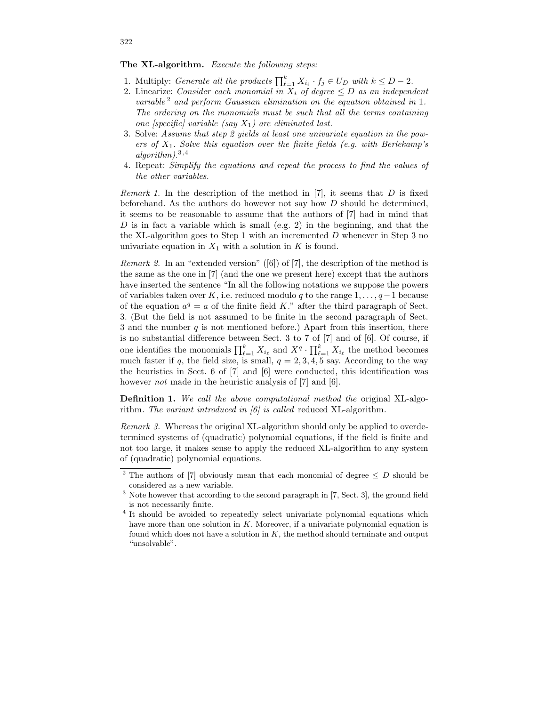The XL-algorithm. Execute the following steps:

- 1. Multiply: *Generate all the products*  $\prod_{\ell=1}^k X_{i_\ell} \cdot f_j \in U_D$  with  $k \leq D-2$ .
- 2. Linearize: Consider each monomial in  $X_i$  of degree  $\leq D$  as an independent variable  $^2$  and perform Gaussian elimination on the equation obtained in 1. The ordering on the monomials must be such that all the terms containing one [specific] variable (say  $X_1$ ) are eliminated last.
- 3. Solve: Assume that step 2 yields at least one univariate equation in the powers of  $X_1$ . Solve this equation over the finite fields (e.g. with Berlekamp's  $algorithm).^{3,4}$
- 4. Repeat: Simplify the equations and repeat the process to find the values of the other variables.

Remark 1. In the description of the method in  $[7]$ , it seems that D is fixed beforehand. As the authors do however not say how  $D$  should be determined, it seems to be reasonable to assume that the authors of [7] had in mind that D is in fact a variable which is small (e.g. 2) in the beginning, and that the the XL-algorithm goes to Step 1 with an incremented  $D$  whenever in Step 3 no univariate equation in  $X_1$  with a solution in K is found.

*Remark 2.* In an "extended version" ([6]) of [7], the description of the method is the same as the one in [7] (and the one we present here) except that the authors have inserted the sentence "In all the following notations we suppose the powers of variables taken over K, i.e. reduced modulo q to the range  $1, \ldots, q-1$  because of the equation  $a^q = a$  of the finite field K." after the third paragraph of Sect. 3. (But the field is not assumed to be finite in the second paragraph of Sect. 3 and the number  $q$  is not mentioned before.) Apart from this insertion, there is no substantial difference between Sect. 3 to 7 of [7] and of [6]. Of course, if one identifies the monomials  $\prod_{\ell=1}^k X_{i_\ell}$  and  $X^q \cdot \prod_{\ell=1}^k X_{i_\ell}$  the method becomes much faster if q, the field size, is small,  $q = 2, 3, 4, 5$  say. According to the way the heuristics in Sect. 6 of [7] and [6] were conducted, this identification was however *not* made in the heuristic analysis of [7] and [6].

Definition 1. We call the above computational method the original XL-algorithm. The variant introduced in  $\lceil 6 \rceil$  is called reduced XL-algorithm.

Remark 3. Whereas the original XL-algorithm should only be applied to overdetermined systems of (quadratic) polynomial equations, if the field is finite and not too large, it makes sense to apply the reduced XL-algorithm to any system of (quadratic) polynomial equations.

322

<sup>&</sup>lt;sup>2</sup> The authors of [7] obviously mean that each monomial of degree  $\leq D$  should be considered as a new variable.

<sup>&</sup>lt;sup>3</sup> Note however that according to the second paragraph in [7, Sect. 3], the ground field is not necessarily finite.

<sup>&</sup>lt;sup>4</sup> It should be avoided to repeatedly select univariate polynomial equations which have more than one solution in  $K$ . Moreover, if a univariate polynomial equation is found which does not have a solution in  $K$ , the method should terminate and output "unsolvable".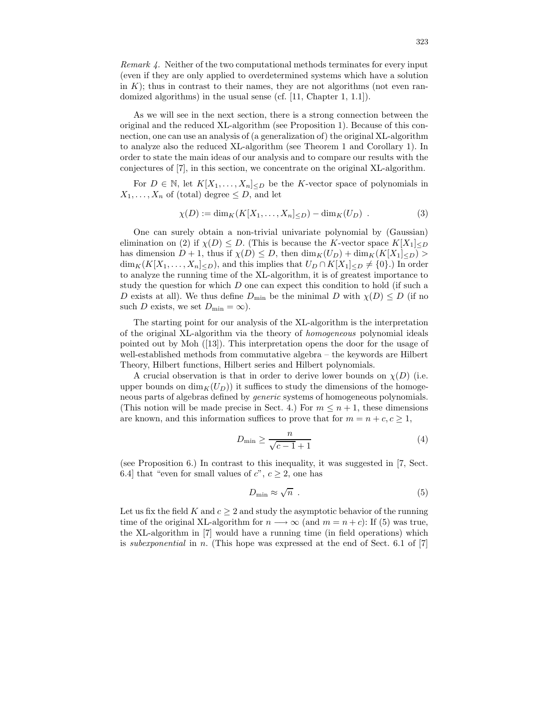Remark 4. Neither of the two computational methods terminates for every input (even if they are only applied to overdetermined systems which have a solution in  $K$ ; thus in contrast to their names, they are not algorithms (not even randomized algorithms) in the usual sense (cf. [11, Chapter 1, 1.1]).

As we will see in the next section, there is a strong connection between the original and the reduced XL-algorithm (see Proposition 1). Because of this connection, one can use an analysis of (a generalization of) the original XL-algorithm to analyze also the reduced XL-algorithm (see Theorem 1 and Corollary 1). In order to state the main ideas of our analysis and to compare our results with the conjectures of [7], in this section, we concentrate on the original XL-algorithm.

For  $D \in \mathbb{N}$ , let  $K[X_1, \ldots, X_n]_{\leq D}$  be the K-vector space of polynomials in  $X_1, \ldots, X_n$  of (total) degree  $\leq D$ , and let

$$
\chi(D) := \dim_K(K[X_1, \dots, X_n]_{\leq D}) - \dim_K(U_D) . \tag{3}
$$

One can surely obtain a non-trivial univariate polynomial by (Gaussian) elimination on (2) if  $\chi(D) \leq D$ . (This is because the K-vector space  $K[X_1]_{\leq D}$ has dimension  $D + 1$ , thus if  $\chi(D) \leq D$ , then  $\dim_K(U_D) + \dim_K(K[X_1] \leq D)$  $\dim_K(K[X_1,\ldots,X_n]_{\leq D})$ , and this implies that  $U_D \cap K[X_1]_{\leq D} \neq \{0\}$ .) In order to analyze the running time of the XL-algorithm, it is of greatest importance to study the question for which D one can expect this condition to hold (if such a D exists at all). We thus define  $D_{\min}$  be the minimal D with  $\chi(D) \leq D$  (if no such D exists, we set  $D_{\min} = \infty$ ).

The starting point for our analysis of the XL-algorithm is the interpretation of the original XL-algorithm via the theory of homogeneous polynomial ideals pointed out by Moh ([13]). This interpretation opens the door for the usage of well-established methods from commutative algebra – the keywords are Hilbert Theory, Hilbert functions, Hilbert series and Hilbert polynomials.

A crucial observation is that in order to derive lower bounds on  $\chi(D)$  (i.e. upper bounds on  $\dim_K(U_D)$  it suffices to study the dimensions of the homogeneous parts of algebras defined by generic systems of homogeneous polynomials. (This notion will be made precise in Sect. 4.) For  $m \leq n+1$ , these dimensions are known, and this information suffices to prove that for  $m = n + c, c \ge 1$ ,

$$
D_{\min} \ge \frac{n}{\sqrt{c-1}+1} \tag{4}
$$

(see Proposition 6.) In contrast to this inequality, it was suggested in [7, Sect. 6.4] that "even for small values of  $c$ ",  $c \geq 2$ , one has

$$
D_{\min} \approx \sqrt{n} \tag{5}
$$

Let us fix the field K and  $c > 2$  and study the asymptotic behavior of the running time of the original XL-algorithm for  $n \longrightarrow \infty$  (and  $m = n + c$ ): If (5) was true, the XL-algorithm in [7] would have a running time (in field operations) which is subexponential in n. (This hope was expressed at the end of Sect.  $6.1$  of [7]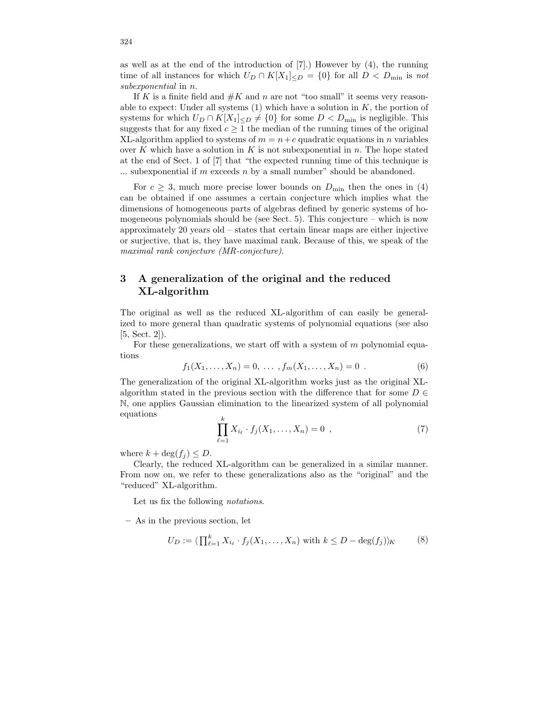as well as at the end of the introduction of [7].) However by (4), the running time of all instances for which  $U_D \cap K[X_1]_{\leq D} = \{0\}$  for all  $D \leq D_{\min}$  is not subexponential in n.

If K is a finite field and  $#K$  and n are not "too small" it seems very reasonable to expect: Under all systems  $(1)$  which have a solution in  $K$ , the portion of systems for which  $U_D \cap K[X_1] \leq D \neq \{0\}$  for some  $D < D_{\min}$  is negligible. This suggests that for any fixed  $c \geq 1$  the median of the running times of the original XL-algorithm applied to systems of  $m = n + c$  quadratic equations in n variables over K which have a solution in K is not subexponential in  $n$ . The hope stated at the end of Sect. 1 of [7] that "the expected running time of this technique is  $\ldots$  subexponential if m exceeds n by a small number" should be abandoned.

For  $c \geq 3$ , much more precise lower bounds on  $D_{\min}$  then the ones in (4) can be obtained if one assumes a certain conjecture which implies what the dimensions of homogeneous parts of algebras defined by generic systems of homogeneous polynomials should be (see Sect. 5). This conjecture – which is now approximately 20 years old – states that certain linear maps are either injective or surjective, that is, they have maximal rank. Because of this, we speak of the maximal rank conjecture (MR-conjecture).

# 3 A generalization of the original and the reduced XL-algorithm

The original as well as the reduced XL-algorithm of can easily be generalized to more general than quadratic systems of polynomial equations (see also [5, Sect. 2]).

For these generalizations, we start off with a system of  $m$  polynomial equations

$$
f_1(X_1, \ldots, X_n) = 0, \ldots, f_m(X_1, \ldots, X_n) = 0.
$$
 (6)

The generalization of the original XL-algorithm works just as the original XLalgorithm stated in the previous section with the difference that for some  $D \in$ N, one applies Gaussian elimination to the linearized system of all polynomial equations

$$
\prod_{\ell=1}^{k} X_{i_{\ell}} \cdot f_j(X_1, \dots, X_n) = 0 \tag{7}
$$

where  $k + \deg(f_i) \leq D$ .

Clearly, the reduced XL-algorithm can be generalized in a similar manner. From now on, we refer to these generalizations also as the "original" and the "reduced" XL-algorithm.

Let us fix the following notations.

– As in the previous section, let

$$
U_D := \langle \prod_{\ell=1}^k X_{i_\ell} \cdot f_j(X_1, \dots, X_n) \text{ with } k \le D - \deg(f_j) \rangle_K \tag{8}
$$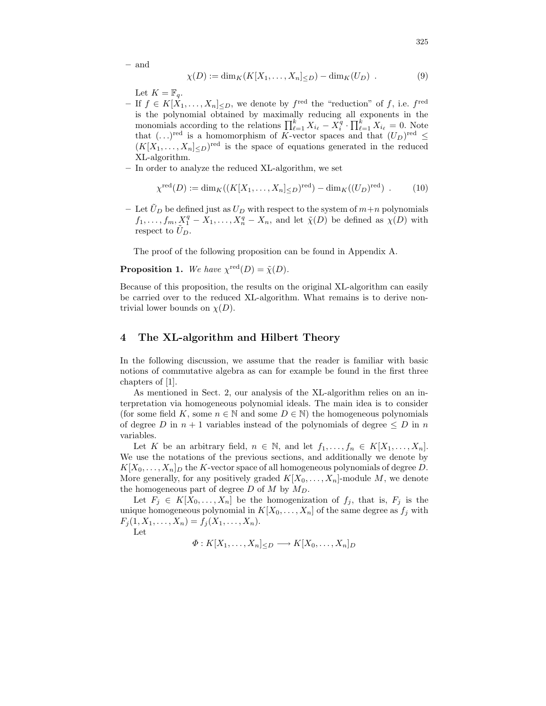– and

$$
\chi(D) := \dim_K(K[X_1, \dots, X_n] \leq D) - \dim_K(U_D) . \tag{9}
$$

Let  $K = \mathbb{F}_q$ .

- $-$  If  $f$  ∈  $K[X_1, \ldots, X_n] \leq D$ , we denote by  $f^{\text{red}}$  the "reduction" of  $f$ , i.e.  $f^{\text{red}}$ is the polynomial obtained by maximally reducing all exponents in the monomials according to the relations  $\prod_{\ell=1}^k X_{i_\ell} - X_i^q \cdot \prod_{\ell=1}^k X_{i_\ell} = 0$ . Note that  $(\ldots)^{\text{red}}$  is a homomorphism of K-vector spaces and that  $(U_D)^{\text{red}} \le$  $(K[X_1, \ldots, X_n]_{\leq D})^{\text{red}}$  is the space of equations generated in the reduced XL-algorithm.
- In order to analyze the reduced XL-algorithm, we set

$$
\chi^{\text{red}}(D) := \dim_K((K[X_1,\ldots,X_n] \leq D)^{\text{red}}) - \dim_K((U_D)^{\text{red}}) \tag{10}
$$

– Let  $\hat{U}_D$  be defined just as  $U_D$  with respect to the system of  $m+n$  polynomials  $f_1, \ldots, f_m, \underline{X}_1^q - X_1, \ldots, X_n^q - X_n$ , and let  $\tilde{\chi}(D)$  be defined as  $\chi(D)$  with respect to  $\tilde{U}_D$ .

The proof of the following proposition can be found in Appendix A.

**Proposition 1.** We have  $\chi^{\text{red}}(D) = \tilde{\chi}(D)$ .

Because of this proposition, the results on the original XL-algorithm can easily be carried over to the reduced XL-algorithm. What remains is to derive nontrivial lower bounds on  $\chi(D)$ .

#### 4 The XL-algorithm and Hilbert Theory

In the following discussion, we assume that the reader is familiar with basic notions of commutative algebra as can for example be found in the first three chapters of [1].

As mentioned in Sect. 2, our analysis of the XL-algorithm relies on an interpretation via homogeneous polynomial ideals. The main idea is to consider (for some field K, some  $n \in \mathbb{N}$  and some  $D \in \mathbb{N}$ ) the homogeneous polynomials of degree D in  $n + 1$  variables instead of the polynomials of degree  $\leq D$  in n variables.

Let K be an arbitrary field,  $n \in \mathbb{N}$ , and let  $f_1, \ldots, f_n \in K[X_1, \ldots, X_n]$ . We use the notations of the previous sections, and additionally we denote by  $K[X_0, \ldots, X_n]_D$  the K-vector space of all homogeneous polynomials of degree D. More generally, for any positively graded  $K[X_0, \ldots, X_n]$ -module M, we denote the homogeneous part of degree  $D$  of  $M$  by  $M_D$ .

Let  $F_j \in K[X_0, \ldots, X_n]$  be the homogenization of  $f_j$ , that is,  $F_j$  is the unique homogeneous polynomial in  $K[X_0, \ldots, X_n]$  of the same degree as  $f_j$  with  $F_j (1, X_1, \ldots, X_n) = f_j (X_1, \ldots, X_n).$ 

Let

 $\Phi: K[X_1,\ldots,X_n]_{\leq D} \longrightarrow K[X_0,\ldots,X_n]_D$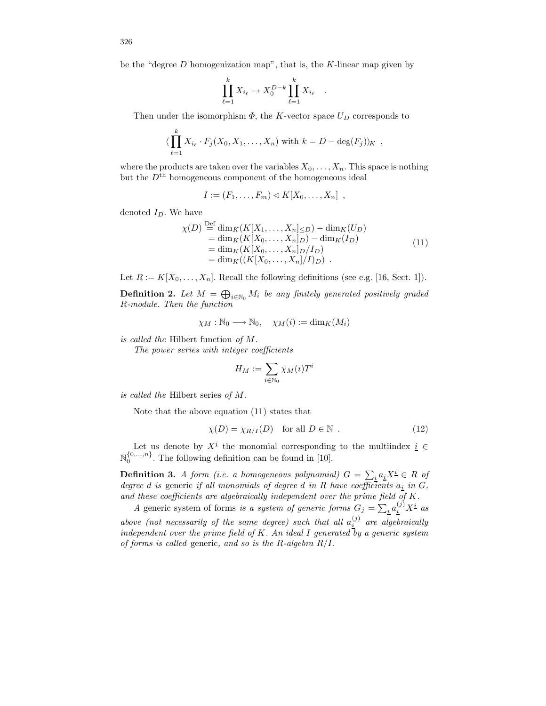be the "degree  $D$  homogenization map", that is, the  $K$ -linear map given by

$$
\prod_{\ell=1}^k X_{i_\ell} \mapsto X_0^{D-k} \prod_{\ell=1}^k X_{i_\ell} .
$$

Then under the isomorphism  $\Phi$ , the K-vector space  $U_D$  corresponds to

$$
\langle \prod_{\ell=1}^k X_{i_\ell} \cdot F_j(X_0, X_1, \dots, X_n) \text{ with } k = D - \deg(F_j) \rangle_K ,
$$

where the products are taken over the variables  $X_0, \ldots, X_n$ . This space is nothing but the  $D<sup>th</sup>$  homogeneous component of the homogeneous ideal

$$
I := (F_1, \ldots, F_m) \triangleleft K[X_0, \ldots, X_n] ,
$$

denoted  $I_D$ . We have

$$
\chi(D) \stackrel{\text{Def}}{=} \dim_K(K[X_1, \dots, X_n] \leq D) - \dim_K(U_D) \n= \dim_K(K[X_0, \dots, X_n]D) - \dim_K(I_D) \n= \dim_K(K[X_0, \dots, X_n]D/I_D) \n= \dim_K((K[X_0, \dots, X_n]/I_D) .
$$
\n(11)

Let  $R := K[X_0, \ldots, X_n]$ . Recall the following definitions (see e.g. [16, Sect. 1]).

**Definition 2.** Let  $M = \bigoplus_{i \in \mathbb{N}_0} M_i$  be any finitely generated positively graded R-module. Then the function

$$
\chi_M : \mathbb{N}_0 \longrightarrow \mathbb{N}_0, \quad \chi_M(i) := \dim_K(M_i)
$$

is called the Hilbert function of M.

The power series with integer coefficients

$$
H_M:=\sum_{i\in\mathbb{N}_0}\chi_M(i)T^i
$$

is called the Hilbert series of M.

Note that the above equation (11) states that

$$
\chi(D) = \chi_{R/I}(D) \quad \text{for all } D \in \mathbb{N} \tag{12}
$$

Let us denote by  $X^{\underline{i}}$  the monomial corresponding to the multiindex  $\underline{i} \in$  $\mathbb{N}_0^{\{0,\ldots,n\}}$ . The following definition can be found in [10].

**Definition 3.** A form (i.e. a homogeneous polynomial)  $G = \sum_i a_i X^i \in R$  of degree d is generic if all monomials of degree d in R have coefficients  $a_i$  in  $G$ , and these coefficients are algebraically independent over the prime field of K.

A generic system of forms is a system of generic forms  $G_j = \sum_i a_i^{(j)} X^i$  as above (not necessarily of the same degree) such that all  $a_i^{(j)}$  are algebraically independent over the prime field of K. An ideal I generated by a generic system of forms is called generic, and so is the R-algebra  $R/I$ .

326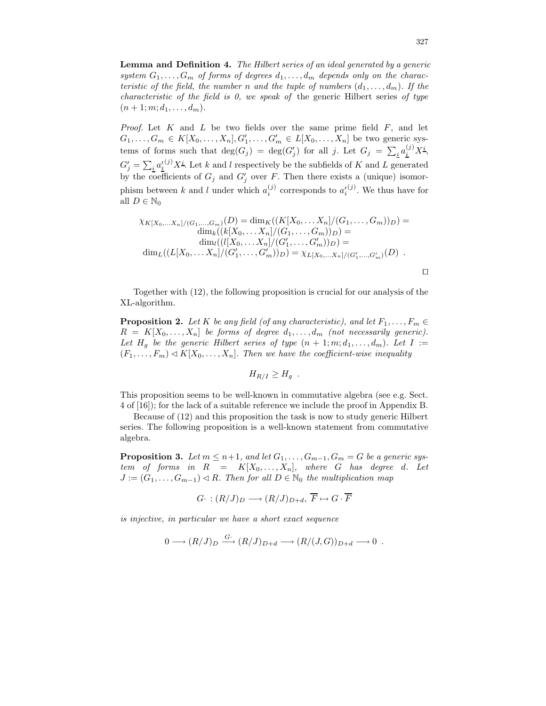Lemma and Definition 4. The Hilbert series of an ideal generated by a generic system  $G_1, \ldots, G_m$  of forms of degrees  $d_1, \ldots, d_m$  depends only on the characteristic of the field, the number n and the tuple of numbers  $(d_1, \ldots, d_m)$ . If the *characteristic of the field is 0, we speak of the generic Hilbert series of type*  $(n+1; m; d_1, \ldots, d_m).$ 

*Proof.* Let  $K$  and  $L$  be two fields over the same prime field  $F$ , and let  $G_1, \ldots, G_m \in K[X_0, \ldots, X_n], G'_1, \ldots, G'_m \in L[X_0, \ldots, X_n]$  be two generic systems of forms such that  $deg(G_j) = deg(G'_j)$  for all j. Let  $G_j = \sum_i a_i^{(j)} X^i$ ,  $G'_j = \sum_i a'_i{}^{(j)} X^i$ . Let k and l respectively be the subfields of K and L generated by the coefficients of  $G_j$  and  $G'_j$  over F. Then there exists a (unique) isomorphism between k and l under which  $a_i^{(j)}$  corresponds to  $a_i^{(j)}$ . We thus have for all  $D \in \mathbb{N}_0$ 

$$
\chi_{K[X_0,...X_n]/(G_1,...,G_m)}(D) = \dim_K((K[X_0,...X_n]/(G_1,...,G_m))_D) = \dim_k((k[X_0,...X_n]/(G_1,...,G_m))_D) = \dim_l((l[X_0,...X_n]/(G'_1,...,G'_m))_D) = \dim_L((L[X_0,...X_n]/(G'_1,...,G'_m))_D) = \chi_{L[X_0,...X_n]/(G'_1,...,G'_m)}(D) .
$$

Together with (12), the following proposition is crucial for our analysis of the XL-algorithm.

**Proposition 2.** Let K be any field (of any characteristic), and let  $F_1, \ldots, F_m \in$  $R = K[X_0, \ldots, X_n]$  be forms of degree  $d_1, \ldots, d_m$  (not necessarily generic). Let  $H_q$  be the generic Hilbert series of type  $(n + 1; m; d_1, \ldots, d_m)$ . Let  $I :=$  $(F_1, \ldots, F_m) \triangleleft K[X_0, \ldots, X_n]$ . Then we have the coefficient-wise inequality

$$
H_{R/I} \geq H_g.
$$

This proposition seems to be well-known in commutative algebra (see e.g. Sect. 4 of [16]); for the lack of a suitable reference we include the proof in Appendix B.

Because of (12) and this proposition the task is now to study generic Hilbert series. The following proposition is a well-known statement from commutative algebra.

**Proposition 3.** Let  $m \leq n+1$ , and let  $G_1, \ldots, G_{m-1}, G_m = G$  be a generic system of forms in  $R = K[X_0, \ldots, X_n]$ , where G has degree d. Let  $J := (G_1, \ldots, G_{m-1}) \triangleleft R$ . Then for all  $D \in \mathbb{N}_0$  the multiplication map

$$
G\cdot:(R/J)_D\longrightarrow (R/J)_{D+d},\ \overline{F}\mapsto G\cdot\overline{F}
$$

is injective, in particular we have a short exact sequence

$$
0 \longrightarrow (R/J)_D \xrightarrow{G^*} (R/J)_{D+d} \longrightarrow (R/(J,G))_{D+d} \longrightarrow 0.
$$

 $\Box$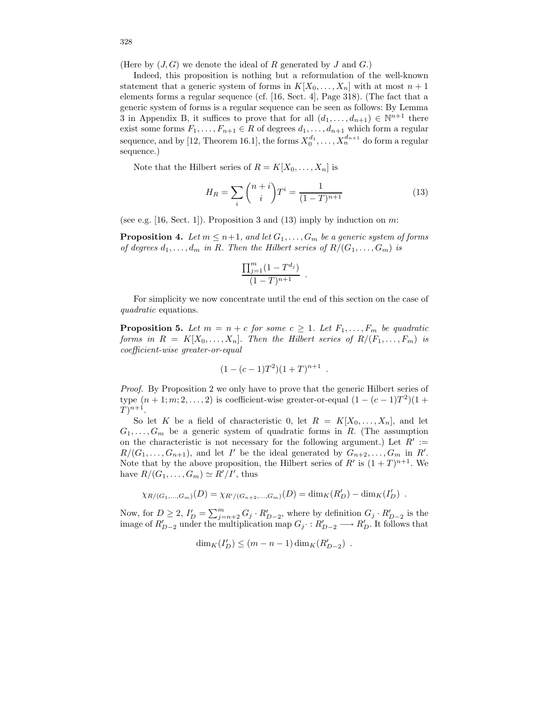(Here by  $(J, G)$ ) we denote the ideal of R generated by J and G.)

Indeed, this proposition is nothing but a reformulation of the well-known statement that a generic system of forms in  $K[X_0, \ldots, X_n]$  with at most  $n+1$ elements forms a regular sequence (cf. [16, Sect. 4], Page 318). (The fact that a generic system of forms is a regular sequence can be seen as follows: By Lemma 3 in Appendix B, it suffices to prove that for all  $(d_1, \ldots, d_{n+1}) \in \mathbb{N}^{n+1}$  there exist some forms  $F_1, \ldots, F_{n+1} \in R$  of degrees  $d_1, \ldots, d_{n+1}$  which form a regular sequence, and by [12, Theorem 16.1], the forms  $X_0^{d_1}, \ldots, X_n^{d_{n+1}}$  do form a regular sequence.)

Note that the Hilbert series of  $R = K[X_0, \ldots, X_n]$  is

$$
H_R = \sum_{i} \binom{n+i}{i} T^i = \frac{1}{(1-T)^{n+1}} \tag{13}
$$

(see e.g. [16, Sect. 1]). Proposition 3 and (13) imply by induction on  $m$ :

**Proposition 4.** Let  $m \leq n+1$ , and let  $G_1, \ldots, G_m$  be a generic system of forms of degrees  $d_1, \ldots, d_m$  in R. Then the Hilbert series of  $R/(G_1, \ldots, G_m)$  is

$$
\frac{\prod_{j=1}^m (1 - T^{d_j})}{(1 - T)^{n+1}}.
$$

For simplicity we now concentrate until the end of this section on the case of quadratic equations.

**Proposition 5.** Let  $m = n + c$  for some  $c \geq 1$ . Let  $F_1, \ldots, F_m$  be quadratic forms in  $R = K[X_0, \ldots, X_n]$ . Then the Hilbert series of  $R/(F_1, \ldots, F_m)$  is coefficient-wise greater-or-equal

$$
(1 - (c - 1)T^2)(1 + T)^{n+1} .
$$

Proof. By Proposition 2 we only have to prove that the generic Hilbert series of type  $(n+1; m; 2, ..., 2)$  is coefficient-wise greater-or-equal  $(1 - (c - 1)T^2)(1 +$  $T)^{n+1}.$ 

So let K be a field of characteristic 0, let  $R = K[X_0, \ldots, X_n]$ , and let  $G_1, \ldots, G_m$  be a generic system of quadratic forms in R. (The assumption on the characteristic is not necessary for the following argument.) Let  $R' :=$  $R/(G_1,\ldots,G_{n+1}),$  and let I' be the ideal generated by  $G_{n+2},\ldots,G_m$  in R'. Note that by the above proposition, the Hilbert series of  $R'$  is  $(1+T)^{n+1}$ . We have  $R/(G_1,\ldots,G_m) \simeq R'/I'$ , thus

$$
\chi_{R/(G_1,...,G_m)}(D) = \chi_{R'/(G_{n+2},...,G_m)}(D) = \dim_K(R'_D) - \dim_K(I'_D) .
$$

Now, for  $D \ge 2$ ,  $I'_D = \sum_{j=n+2}^m G_j \cdot R'_{D-2}$ , where by definition  $G_j \cdot R'_{D-2}$  is the image of  $R'_{D-2}$  under the multiplication map  $G_j: R'_{D-2} \longrightarrow R'_{D}$ . It follows that

$$
\dim_K(I'_D) \le (m-n-1)\dim_K(R'_{D-2}) \enspace .
$$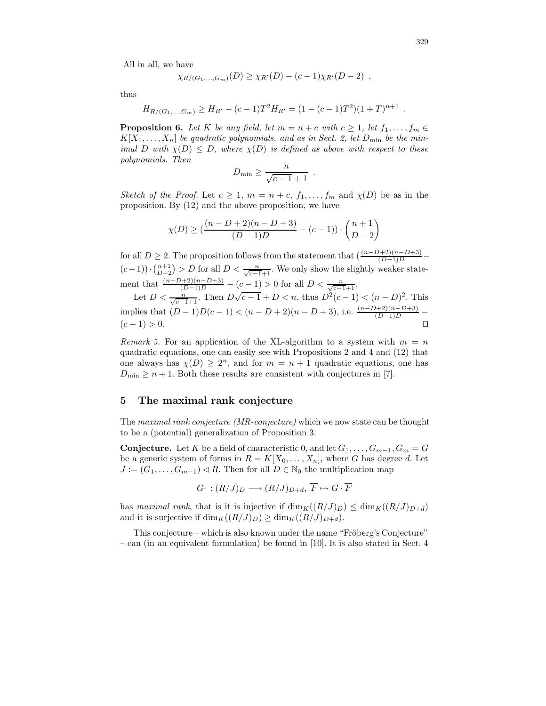All in all, we have

$$
\chi_{R/(G_1,...,G_m)}(D) \geq \chi_{R'}(D) - (c-1)\chi_{R'}(D-2) ,
$$

thus

$$
H_{R/(G_1,\ldots,G_m)} \ge H_{R'} - (c-1)T^2 H_{R'} = (1 - (c-1)T^2)(1+T)^{n+1}
$$

**Proposition 6.** Let K be any field, let  $m = n + c$  with  $c \geq 1$ , let  $f_1, \ldots, f_m \in$  $K[X_1, \ldots, X_n]$  be quadratic polynomials, and as in Sect. 2, let  $D_{\min}$  be the minimal D with  $\chi(D) \leq D$ , where  $\chi(D)$  is defined as above with respect to these polynomials. Then

$$
D_{\min} \ge \frac{n}{\sqrt{c-1}+1} .
$$

Sketch of the Proof. Let  $c \geq 1$ ,  $m = n + c$ ,  $f_1, \ldots, f_m$  and  $\chi(D)$  be as in the proposition. By (12) and the above proposition, we have

$$
\chi(D) \ge \left( \frac{(n - D + 2)(n - D + 3)}{(D - 1)D} - (c - 1) \right) \cdot \binom{n + 1}{D - 2}
$$

for all  $D \ge 2$ . The proposition follows from the statement that  $\left(\frac{(n-D+2)(n-D+3)}{(D-1)D}\right)$  $(c-1)) \cdot {n+1 \choose D-2} > D$  for all  $D < \frac{n}{\sqrt{c-1}+1}$ . We only show the slightly weaker state- $D-2$ ment that  $\frac{(n-D+2)(n-D+3)}{(D-1)D} - (c-1) > 0$  for all  $D < \frac{n}{\sqrt{c-1+1}}$ .

Let  $D < \frac{n}{\sqrt{c-1}+1}$ . Then  $D\sqrt{c-1} + D < n$ , thus  $D^{2}(c-1) < (n - D)^{2}$ . This implies that  $(D-1)D(c-1) < (n-D+2)(n-D+3)$ , i.e.  $\frac{(n-D+2)(n-D+3)}{(D-1)D}$  $(c - 1) > 0.$ 

Remark 5. For an application of the XL-algorithm to a system with  $m = n$ quadratic equations, one can easily see with Propositions 2 and 4 and (12) that one always has  $\chi(D) \geq 2^n$ , and for  $m = n + 1$  quadratic equations, one has  $D_{\min} \geq n+1$ . Both these results are consistent with conjectures in [7].

#### 5 The maximal rank conjecture

The maximal rank conjecture (MR-conjecture) which we now state can be thought to be a (potential) generalization of Proposition 3.

**Conjecture.** Let K be a field of characteristic 0, and let  $G_1, \ldots, G_{m-1}, G_m = G$ be a generic system of forms in  $R = K[X_0, \ldots, X_n]$ , where G has degree d. Let  $J := (G_1, \ldots, G_{m-1}) \triangleleft R$ . Then for all  $D \in \mathbb{N}_0$  the multiplication map

$$
G\cdot:(R/J)_D\longrightarrow (R/J)_{D+d},\ \overline{F}\mapsto G\cdot\overline{F}
$$

has maximal rank, that is it is injective if  $\dim_K((R/J)_D) \leq \dim_K((R/J)_{D+d})$ and it is surjective if  $\dim_K((R/J)_D) \ge \dim_K((R/J)_{D+d}).$ 

This conjecture – which is also known under the name "Fröberg's Conjecture" – can (in an equivalent formulation) be found in [10]. It is also stated in Sect. 4

.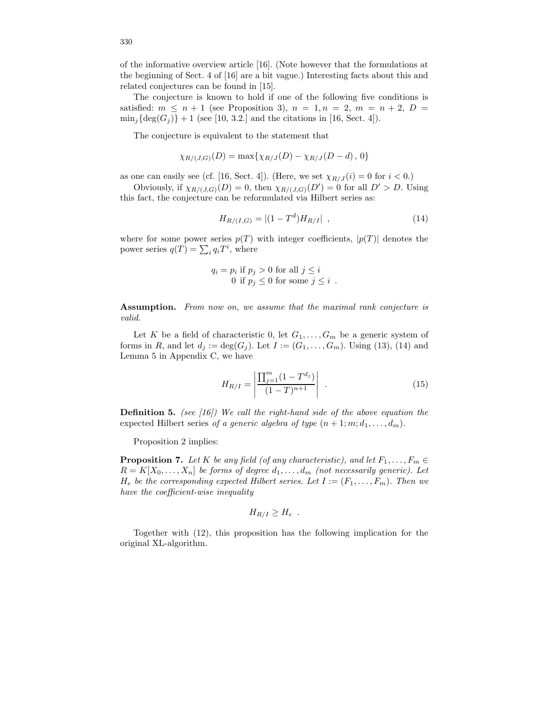of the informative overview article [16]. (Note however that the formulations at the beginning of Sect. 4 of [16] are a bit vague.) Interesting facts about this and related conjectures can be found in [15].

The conjecture is known to hold if one of the following five conditions is satisfied:  $m \leq n+1$  (see Proposition 3),  $n = 1, n = 2, m = n+2, D =$  $\min_i {\rm deg}(G_i)$  + 1 (see [10, 3.2.] and the citations in [16, Sect. 4]).

The conjecture is equivalent to the statement that

$$
\chi_{R/(J,G)}(D) = \max{\{\chi_{R/J}(D) - \chi_{R/J}(D - d), 0\}}
$$

as one can easily see (cf. [16, Sect. 4]). (Here, we set  $\chi_{R/J}(i) = 0$  for  $i < 0$ .)

Obviously, if  $\chi_{R/(J,G)}(D) = 0$ , then  $\chi_{R/(J,G)}(D') = 0$  for all  $D' > D$ . Using this fact, the conjecture can be reformulated via Hilbert series as:

$$
H_{R/(I,G)} = |(1 - T^d)H_{R/I}| \t\t(14)
$$

where for some power series  $p(T)$  with integer coefficients,  $|p(T)|$  denotes the power series  $q(T) = \sum_i q_i T^i$ , where

$$
q_i = p_i \text{ if } p_j > 0 \text{ for all } j \leq i
$$
  
0 if  $p_j \leq 0$  for some  $j \leq i$ .

Assumption. From now on, we assume that the maximal rank conjecture is valid.

Let K be a field of characteristic 0, let  $G_1, \ldots, G_m$  be a generic system of forms in R, and let  $d_j := \deg(G_j)$ . Let  $I := (G_1, \ldots, G_m)$ . Using (13), (14) and Lemma 5 in Appendix C, we have

$$
H_{R/I} = \left| \frac{\prod_{j=1}^{m} (1 - T^{d_j})}{(1 - T)^{n+1}} \right| \tag{15}
$$

**Definition 5.** (see  $(16)$ ) We call the right-hand side of the above equation the expected Hilbert series of a generic algebra of type  $(n+1; m; d_1, \ldots, d_m)$ .

Proposition 2 implies:

**Proposition 7.** Let K be any field (of any characteristic), and let  $F_1, \ldots, F_m \in$  $R = K[X_0, \ldots, X_n]$  be forms of degree  $d_1, \ldots, d_m$  (not necessarily generic). Let  $H_e$  be the corresponding expected Hilbert series. Let  $I := (F_1, \ldots, F_m)$ . Then we have the coefficient-wise inequality

$$
H_{R/I} \geq H_e.
$$

Together with (12), this proposition has the following implication for the original XL-algorithm.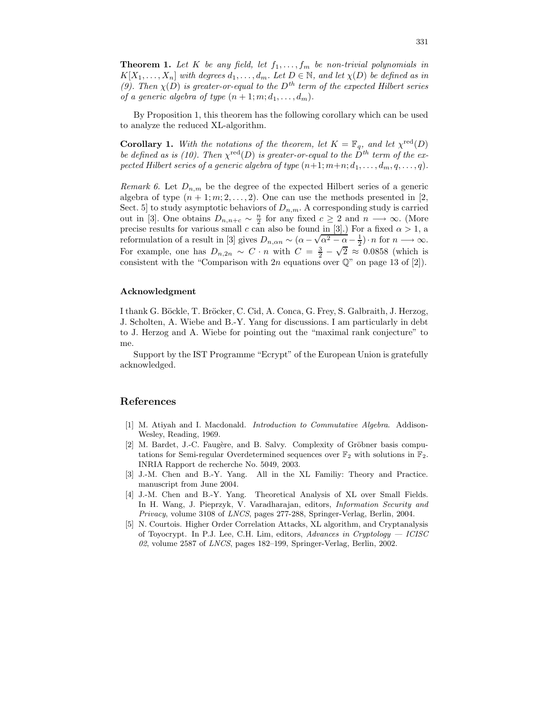**Theorem 1.** Let K be any field, let  $f_1, \ldots, f_m$  be non-trivial polynomials in  $K[X_1, \ldots, X_n]$  with degrees  $d_1, \ldots, d_m$ . Let  $D \in \mathbb{N}$ , and let  $\chi(D)$  be defined as in (9). Then  $\chi(D)$  is greater-or-equal to the  $D<sup>th</sup>$  term of the expected Hilbert series of a generic algebra of type  $(n+1; m; d_1, \ldots, d_m)$ .

By Proposition 1, this theorem has the following corollary which can be used to analyze the reduced XL-algorithm.

**Corollary 1.** With the notations of the theorem, let  $K = \mathbb{F}_q$ , and let  $\chi^{\text{red}}(D)$ be defined as is (10). Then  $\chi^{\text{red}}(D)$  is greater-or-equal to the  $D^{th}$  term of the expected Hilbert series of a generic algebra of type  $(n+1; m+n; d_1, \ldots, d_m, q, \ldots, q)$ .

Remark 6. Let  $D_{n,m}$  be the degree of the expected Hilbert series of a generic algebra of type  $(n + 1; m; 2, \ldots, 2)$ . One can use the methods presented in [2, Sect. 5 to study asymptotic behaviors of  $D_{n,m}$ . A corresponding study is carried out in [3]. One obtains  $D_{n,n+c} \sim \frac{n}{2}$  for any fixed  $c \geq 2$  and  $n \longrightarrow \infty$ . (More precise results for various small c can also be found in [3].) For a fixed  $\alpha > 1$ , a reformulation of a result in [3] gives  $D_{n,\alpha n} \sim (\alpha - \sqrt{\alpha^2 - \alpha} - \frac{1}{2}) \cdot n$  for  $n \longrightarrow \infty$ . For example, one has  $D_{n,2n} \sim C \cdot n$  with  $C = \frac{3}{2}$  –  $\sqrt{2} \approx 0.0858$  (which is consistent with the "Comparison with 2n equations over  $\mathbb{Q}$ " on page 13 of [2]).

#### Acknowledgment

I thank G. Böckle, T. Bröcker, C. Cid, A. Conca, G. Frey, S. Galbraith, J. Herzog, J. Scholten, A. Wiebe and B.-Y. Yang for discussions. I am particularly in debt to J. Herzog and A. Wiebe for pointing out the "maximal rank conjecture" to me.

Support by the IST Programme "Ecrypt" of the European Union is gratefully acknowledged.

#### References

- [1] M. Atiyah and I. Macdonald. Introduction to Commutative Algebra. Addison-Wesley, Reading, 1969.
- $[2]$  M. Bardet, J.-C. Faugère, and B. Salvy. Complexity of Gröbner basis computations for Semi-regular Overdetermined sequences over  $\mathbb{F}_2$  with solutions in  $\mathbb{F}_2$ . INRIA Rapport de recherche No. 5049, 2003.
- [3] J.-M. Chen and B.-Y. Yang. All in the XL Familiy: Theory and Practice. manuscript from June 2004.
- [4] J.-M. Chen and B.-Y. Yang. Theoretical Analysis of XL over Small Fields. In H. Wang, J. Pieprzyk, V. Varadharajan, editors, Information Security and Privacy, volume 3108 of LNCS, pages 277-288, Springer-Verlag, Berlin, 2004.
- [5] N. Courtois. Higher Order Correlation Attacks, XL algorithm, and Cryptanalysis of Toyocrypt. In P.J. Lee, C.H. Lim, editors, Advances in Cryptology  $-$  ICISC  $02$ , volume 2587 of *LNCS*, pages 182–199, Springer-Verlag, Berlin, 2002.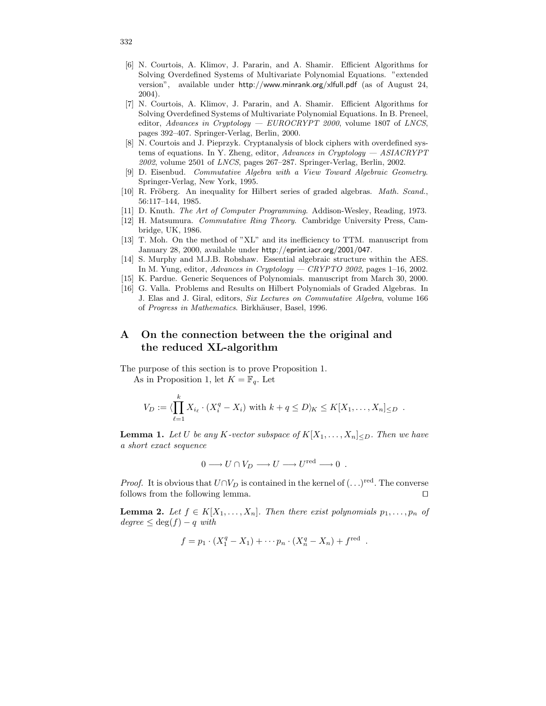- [6] N. Courtois, A. Klimov, J. Pararin, and A. Shamir. Efficient Algorithms for Solving Overdefined Systems of Multivariate Polynomial Equations. "extended version", available under http://www.minrank.org/xlfull.pdf (as of August 24, 2004).
- [7] N. Courtois, A. Klimov, J. Pararin, and A. Shamir. Efficient Algorithms for Solving Overdefined Systems of Multivariate Polynomial Equations. In B. Preneel, editor, Advances in Cryptology — EUROCRYPT 2000, volume 1807 of LNCS, pages 392–407. Springer-Verlag, Berlin, 2000.
- [8] N. Courtois and J. Pieprzyk. Cryptanalysis of block ciphers with overdefined systems of equations. In Y. Zheng, editor, Advances in Cryptology  $-$  ASIACRYPT 2002, volume 2501 of LNCS, pages 267–287. Springer-Verlag, Berlin, 2002.
- [9] D. Eisenbud. Commutative Algebra with a View Toward Algebraic Geometry. Springer-Verlag, New York, 1995.
- [10] R. Fröberg. An inequality for Hilbert series of graded algebras. Math. Scand., 56:117–144, 1985.
- [11] D. Knuth. The Art of Computer Programming. Addison-Wesley, Reading, 1973.
- [12] H. Matsumura. Commutative Ring Theory. Cambridge University Press, Cambridge, UK, 1986.
- [13] T. Moh. On the method of "XL" and its inefficiency to TTM. manuscript from January 28, 2000, available under http://eprint.iacr.org/2001/047.
- [14] S. Murphy and M.J.B. Robshaw. Essential algebraic structure within the AES. In M. Yung, editor, Advances in Cryptology — CRYPTO 2002, pages  $1-16$ , 2002.
- [15] K. Pardue. Generic Sequences of Polynomials. manuscript from March 30, 2000.
- [16] G. Valla. Problems and Results on Hilbert Polynomials of Graded Algebras. In J. Elas and J. Giral, editors, Six Lectures on Commutative Algebra, volume 166 of Progress in Mathematics. Birkhäuser, Basel, 1996.

# A On the connection between the the original and the reduced XL-algorithm

The purpose of this section is to prove Proposition 1. As in Proposition 1, let  $K = \mathbb{F}_q$ . Let

$$
V_D := \langle \prod_{\ell=1}^k X_{i_\ell} \cdot (X_i^q - X_i) \text{ with } k + q \leq D \rangle_K \leq K[X_1, \dots, X_n] \leq D.
$$

**Lemma 1.** Let U be any K-vector subspace of  $K[X_1, \ldots, X_n]_{\leq D}$ . Then we have a short exact sequence

$$
0 \longrightarrow U \cap V_D \longrightarrow U \longrightarrow U^{\text{red}} \longrightarrow 0 .
$$

*Proof.* It is obvious that  $U \cap V_D$  is contained in the kernel of  $(\ldots)^{\text{red}}$ . The converse follows from the following lemma.  $\square$ 

**Lemma 2.** Let  $f \in K[X_1, \ldots, X_n]$ . Then there exist polynomials  $p_1, \ldots, p_n$  of  $degree \leq deg(f) - q \text{ with}$ 

$$
f = p_1 \cdot (X_1^q - X_1) + \cdots p_n \cdot (X_n^q - X_n) + f^{\text{red}}.
$$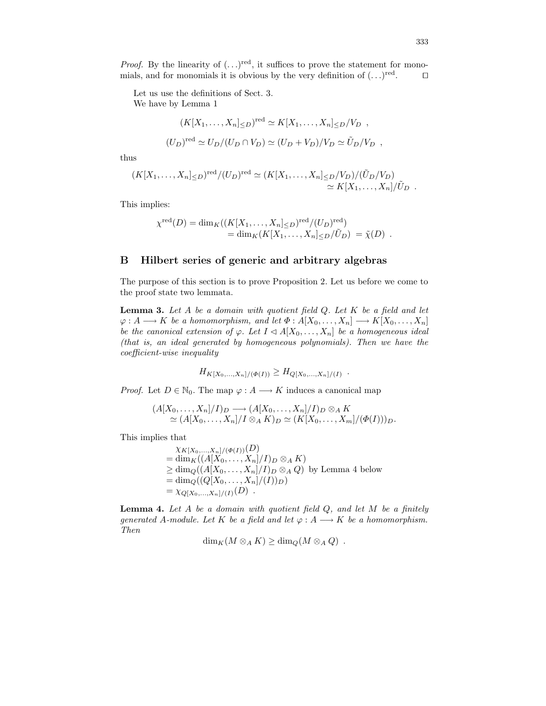*Proof.* By the linearity of  $(\ldots)^{red}$ , it suffices to prove the statement for monomials, and for monomials it is obvious by the very definition of  $(\ldots)^{\text{red}}$  $\Box$ 

Let us use the definitions of Sect. 3. We have by Lemma 1

$$
(K[X_1,\ldots,X_n]_{\leq D})^{\text{red}} \simeq K[X_1,\ldots,X_n]_{\leq D}/V_D ,
$$
  

$$
(U_D)^{\text{red}} \simeq U_D/(U_D \cap V_D) \simeq (U_D + V_D)/V_D \simeq \tilde{U}_D/V_D ,
$$

thus

$$
(K[X_1,\ldots,X_n]_{\leq D})^{\text{red}}/(U_D)^{\text{red}} \simeq (K[X_1,\ldots,X_n]_{\leq D}/V_D)/(\tilde{U}_D/V_D)
$$
  

$$
\simeq K[X_1,\ldots,X_n]/\tilde{U}_D.
$$

This implies:

$$
\chi^{\text{red}}(D) = \dim_K((K[X_1, ..., X_n] \leq D)^{\text{red}}/(U_D)^{\text{red}})
$$
  
= 
$$
\dim_K(K[X_1, ..., X_n] \leq D/\tilde{U}_D) = \tilde{\chi}(D) .
$$

#### B Hilbert series of generic and arbitrary algebras

The purpose of this section is to prove Proposition 2. Let us before we come to the proof state two lemmata.

**Lemma 3.** Let  $A$  be a domain with quotient field  $Q$ . Let  $K$  be a field and let  $\varphi: A \longrightarrow K$  be a homomorphism, and let  $\Phi: A[X_0, \ldots, X_n] \longrightarrow K[X_0, \ldots, X_n]$ be the canonical extension of  $\varphi$ . Let  $I \triangleleft A[X_0, \ldots, X_n]$  be a homogeneous ideal (that is, an ideal generated by homogeneous polynomials). Then we have the coefficient-wise inequality

$$
H_{K[X_0,...,X_n]/(\Phi(I))} \geq H_{Q[X_0,...,X_n]/(I)}.
$$

*Proof.* Let  $D \in \mathbb{N}_0$ . The map  $\varphi : A \longrightarrow K$  induces a canonical map

$$
(A[X_0, \ldots, X_n]/I)_D \longrightarrow (A[X_0, \ldots, X_n]/I)_D \otimes_A K
$$
  
\n
$$
\simeq (A[X_0, \ldots, X_n]/I \otimes_A K)_D \simeq (K[X_0, \ldots, X_m]/(\Phi(I)))_D.
$$

This implies that

$$
\chi_{K[X_0,...,X_n]/(\Phi(I))}(D)
$$
  
= dim<sub>K</sub>((A[X\_0,...,X\_n]/I)<sub>D</sub> ⊗<sub>A</sub> K)  

$$
\geq \dim_Q((A[X_0,...,X_n]/I)D ⊗A Q) by Lemma 4 below
$$
  
= dim<sub>Q</sub>((Q[X\_0,...,X\_n]/(I))<sub>D</sub>)  
= \chi\_{Q[X\_0,...,X\_n]/(I)}(D) .

**Lemma 4.** Let  $A$  be a domain with quotient field  $Q$ , and let  $M$  be a finitely generated A-module. Let K be a field and let  $\varphi : A \longrightarrow K$  be a homomorphism. Then

$$
\dim_K(M\otimes_A K)\geq \dim_Q(M\otimes_A Q) \ .
$$